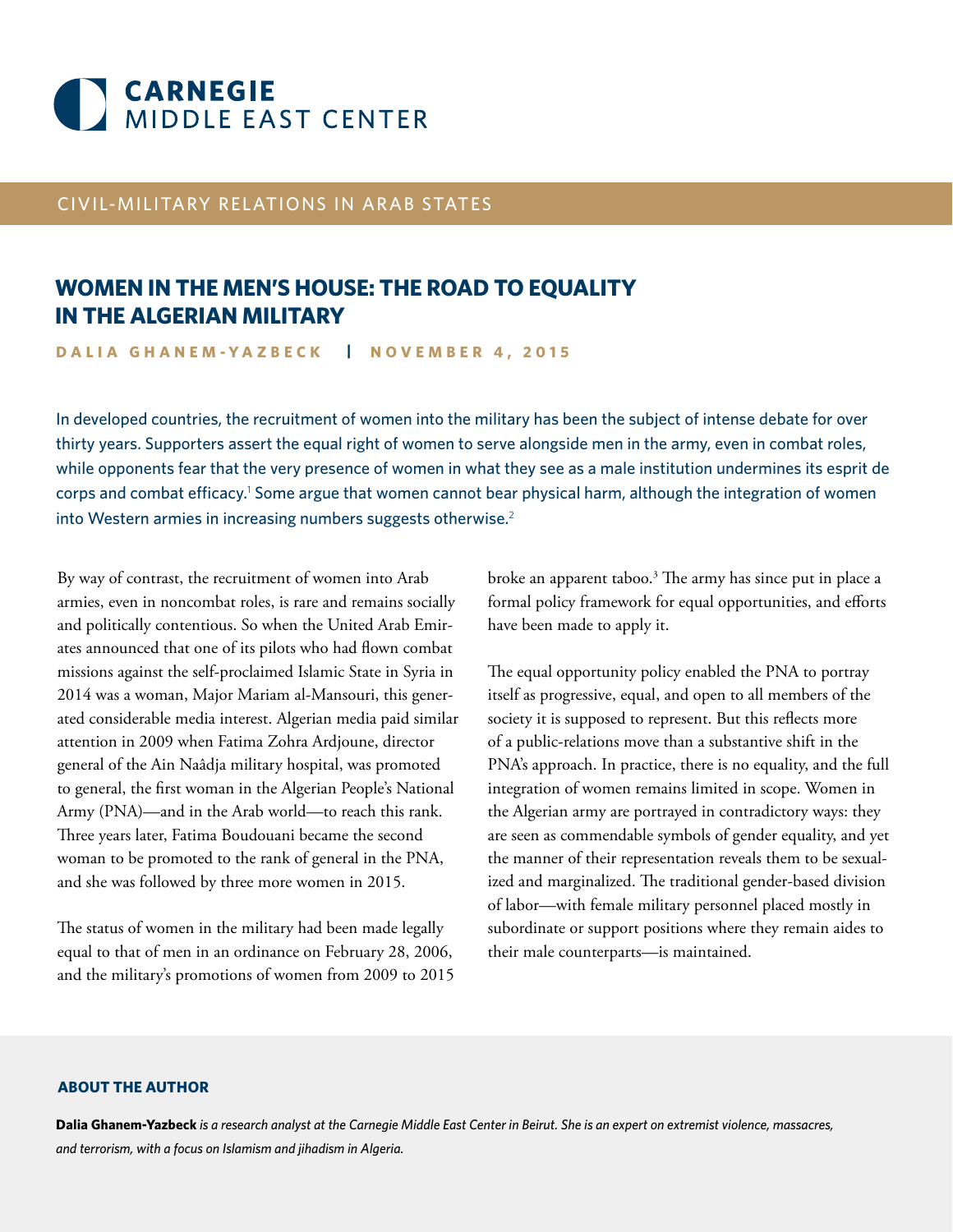

# CIVIL-MILITARY RELATIONS IN ARAB STATES

# **WOMEN IN THE MEN'S HOUSE: THE ROAD TO EQUALITY IN THE ALGERIAN MILITARY**

**DALIA GHANEM-YAZBECK | NOVEMBER 4, 2015**

In developed countries, the recruitment of women into the military has been the subject of intense debate for over thirty years. Supporters assert the equal right of women to serve alongside men in the army, even in combat roles, while opponents fear that the very presence of women in what they see as a male institution undermines its esprit de corps and combat efficacy.<sup>1</sup> Some argue that women cannot bear physical harm, although the integration of women into Western armies in increasing numbers suggests otherwise.<sup>2</sup>

By way of contrast, the recruitment of women into Arab armies, even in noncombat roles, is rare and remains socially and politically contentious. So when the United Arab Emirates announced that one of its pilots who had flown combat missions against the self-proclaimed Islamic State in Syria in 2014 was a woman, Major Mariam al-Mansouri, this generated considerable media interest. Algerian media paid similar attention in 2009 when Fatima Zohra Ardjoune, director general of the Ain Naâdja military hospital, was promoted to general, the first woman in the Algerian People's National Army (PNA)—and in the Arab world—to reach this rank. Three years later, Fatima Boudouani became the second woman to be promoted to the rank of general in the PNA, and she was followed by three more women in 2015.

The status of women in the military had been made legally equal to that of men in an ordinance on February 28, 2006, and the military's promotions of women from 2009 to 2015

broke an apparent taboo.<sup>3</sup> The army has since put in place a formal policy framework for equal opportunities, and efforts have been made to apply it.

The equal opportunity policy enabled the PNA to portray itself as progressive, equal, and open to all members of the society it is supposed to represent. But this reflects more of a public-relations move than a substantive shift in the PNA's approach. In practice, there is no equality, and the full integration of women remains limited in scope. Women in the Algerian army are portrayed in contradictory ways: they are seen as commendable symbols of gender equality, and yet the manner of their representation reveals them to be sexualized and marginalized. The traditional gender-based division of labor—with female military personnel placed mostly in subordinate or support positions where they remain aides to their male counterparts—is maintained.

#### **ABOUT THE AUTHOR**

**Dalia Ghanem-Yazbeck** *is a research analyst at the Carnegie Middle East Center in Beirut. She is an expert on extremist violence, massacres, and terrorism, with a focus on Islamism and jihadism in Algeria.*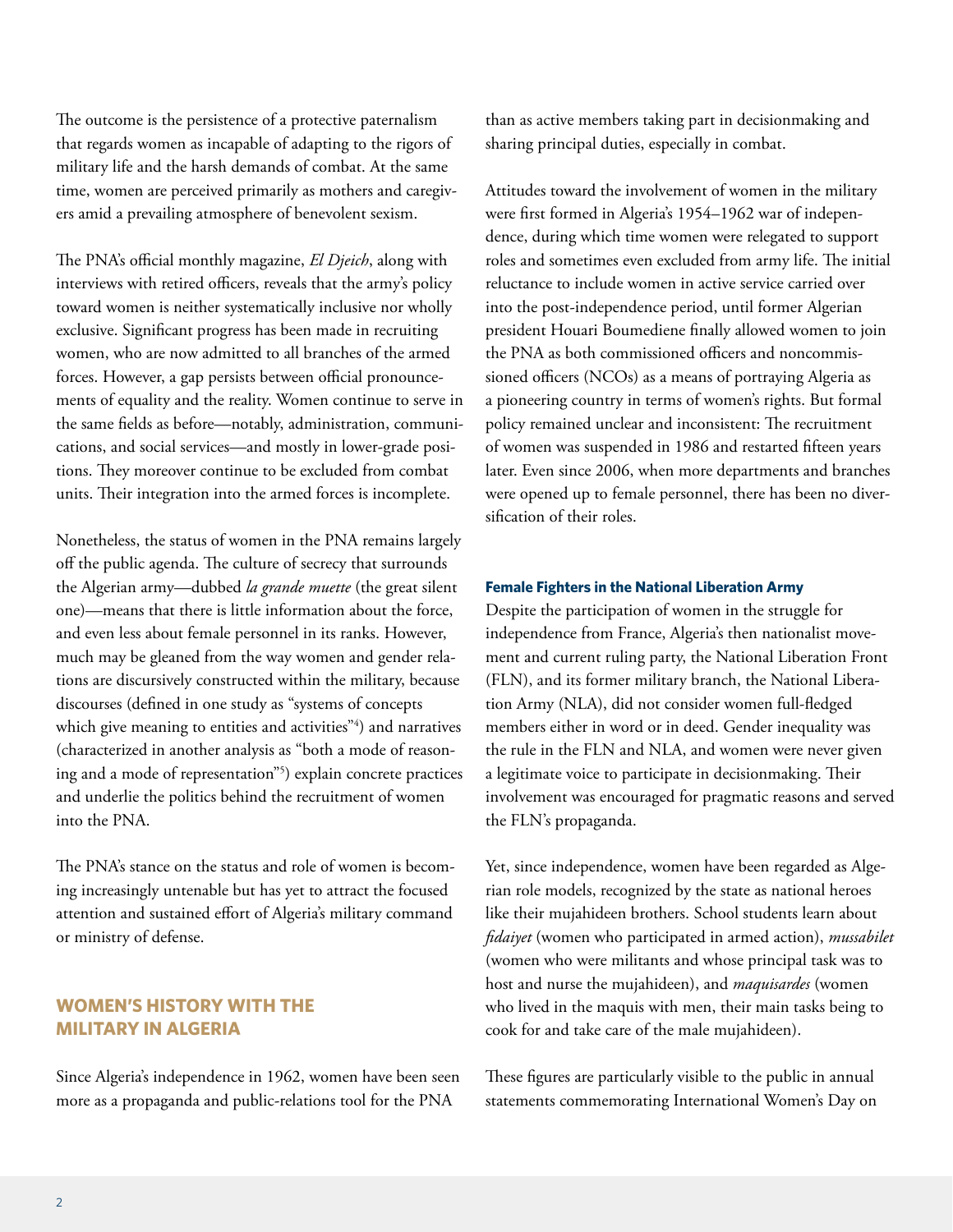The outcome is the persistence of a protective paternalism that regards women as incapable of adapting to the rigors of military life and the harsh demands of combat. At the same time, women are perceived primarily as mothers and caregivers amid a prevailing atmosphere of benevolent sexism.

The PNA's official monthly magazine, *El Djeich*, along with interviews with retired officers, reveals that the army's policy toward women is neither systematically inclusive nor wholly exclusive. Significant progress has been made in recruiting women, who are now admitted to all branches of the armed forces. However, a gap persists between official pronouncements of equality and the reality. Women continue to serve in the same fields as before—notably, administration, communications, and social services—and mostly in lower-grade positions. They moreover continue to be excluded from combat units. Their integration into the armed forces is incomplete.

Nonetheless, the status of women in the PNA remains largely off the public agenda. The culture of secrecy that surrounds the Algerian army—dubbed *la grande muette* (the great silent one)—means that there is little information about the force, and even less about female personnel in its ranks. However, much may be gleaned from the way women and gender relations are discursively constructed within the military, because discourses (defined in one study as "systems of concepts which give meaning to entities and activities"4 ) and narratives (characterized in another analysis as "both a mode of reasoning and a mode of representation"5 ) explain concrete practices and underlie the politics behind the recruitment of women into the PNA.

The PNA's stance on the status and role of women is becoming increasingly untenable but has yet to attract the focused attention and sustained effort of Algeria's military command or ministry of defense.

# **WOMEN'S HISTORY WITH THE MILITARY IN ALGERIA**

Since Algeria's independence in 1962, women have been seen more as a propaganda and public-relations tool for the PNA

than as active members taking part in decisionmaking and sharing principal duties, especially in combat.

Attitudes toward the involvement of women in the military were first formed in Algeria's 1954–1962 war of independence, during which time women were relegated to support roles and sometimes even excluded from army life. The initial reluctance to include women in active service carried over into the post-independence period, until former Algerian president Houari Boumediene finally allowed women to join the PNA as both commissioned officers and noncommissioned officers (NCOs) as a means of portraying Algeria as a pioneering country in terms of women's rights. But formal policy remained unclear and inconsistent: The recruitment of women was suspended in 1986 and restarted fifteen years later. Even since 2006, when more departments and branches were opened up to female personnel, there has been no diversification of their roles.

#### **Female Fighters in the National Liberation Army**

Despite the participation of women in the struggle for independence from France, Algeria's then nationalist movement and current ruling party, the National Liberation Front (FLN), and its former military branch, the National Liberation Army (NLA), did not consider women full-fledged members either in word or in deed. Gender inequality was the rule in the FLN and NLA, and women were never given a legitimate voice to participate in decisionmaking. Their involvement was encouraged for pragmatic reasons and served the FLN's propaganda.

Yet, since independence, women have been regarded as Algerian role models, recognized by the state as national heroes like their mujahideen brothers. School students learn about *fidaiyet* (women who participated in armed action), *mussabilet* (women who were militants and whose principal task was to host and nurse the mujahideen), and *maquisardes* (women who lived in the maquis with men, their main tasks being to cook for and take care of the male mujahideen).

These figures are particularly visible to the public in annual statements commemorating International Women's Day on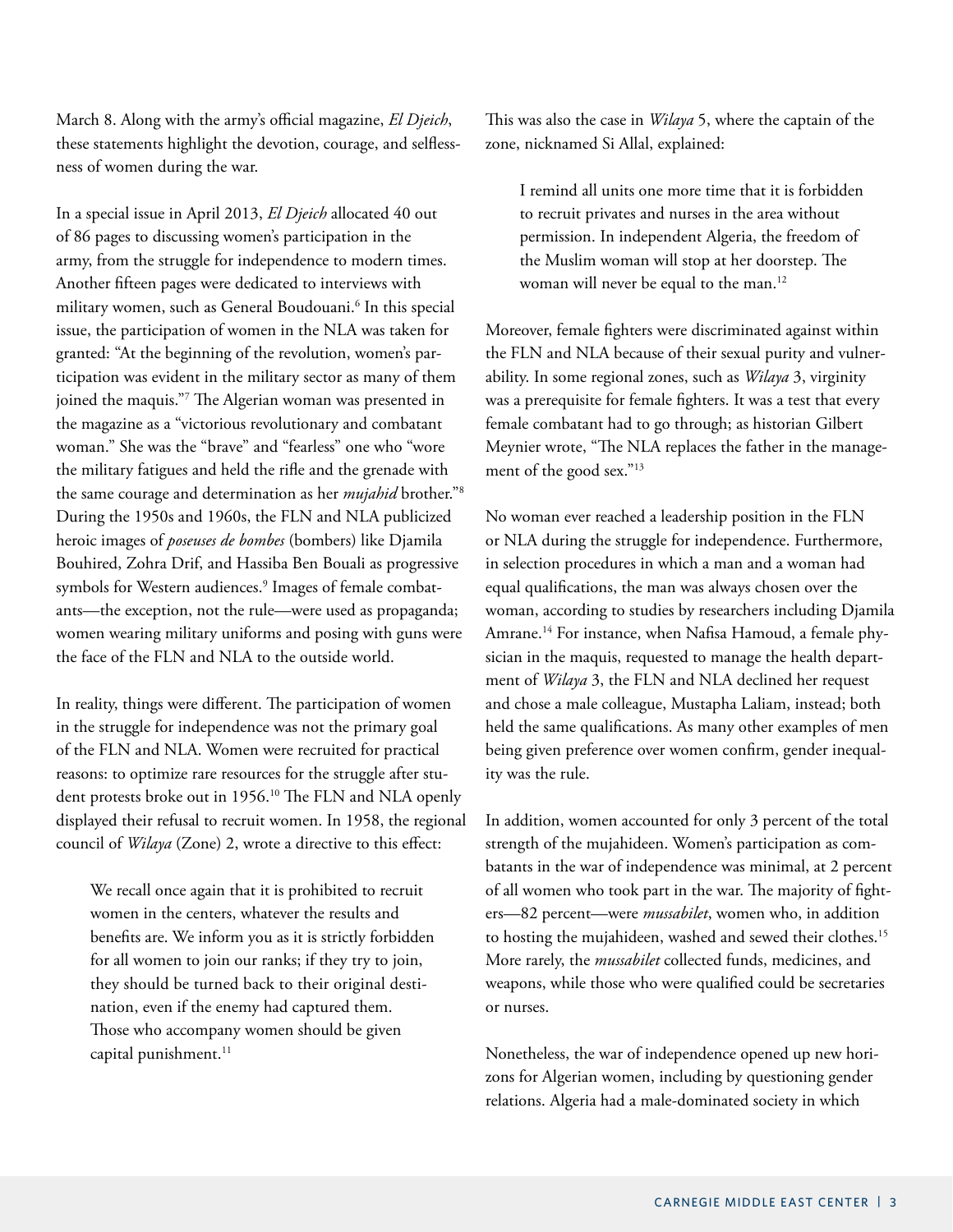March 8. Along with the army's official magazine, *El Djeich*, these statements highlight the devotion, courage, and selflessness of women during the war.

In a special issue in April 2013, *El Djeich* allocated 40 out of 86 pages to discussing women's participation in the army, from the struggle for independence to modern times. Another fifteen pages were dedicated to interviews with military women, such as General Boudouani.6 In this special issue, the participation of women in the NLA was taken for granted: "At the beginning of the revolution, women's participation was evident in the military sector as many of them joined the maquis."7 The Algerian woman was presented in the magazine as a "victorious revolutionary and combatant woman." She was the "brave" and "fearless" one who "wore the military fatigues and held the rifle and the grenade with the same courage and determination as her *mujahid* brother."8 During the 1950s and 1960s, the FLN and NLA publicized heroic images of *poseuses de bombes* (bombers) like Djamila Bouhired, Zohra Drif, and Hassiba Ben Bouali as progressive symbols for Western audiences.<sup>9</sup> Images of female combatants—the exception, not the rule—were used as propaganda; women wearing military uniforms and posing with guns were the face of the FLN and NLA to the outside world.

In reality, things were different. The participation of women in the struggle for independence was not the primary goal of the FLN and NLA. Women were recruited for practical reasons: to optimize rare resources for the struggle after student protests broke out in 1956.10 The FLN and NLA openly displayed their refusal to recruit women. In 1958, the regional council of *Wilaya* (Zone) 2, wrote a directive to this effect:

We recall once again that it is prohibited to recruit women in the centers, whatever the results and benefits are. We inform you as it is strictly forbidden for all women to join our ranks; if they try to join, they should be turned back to their original destination, even if the enemy had captured them. Those who accompany women should be given capital punishment.<sup>11</sup>

This was also the case in *Wilaya* 5, where the captain of the zone, nicknamed Si Allal, explained:

I remind all units one more time that it is forbidden to recruit privates and nurses in the area without permission. In independent Algeria, the freedom of the Muslim woman will stop at her doorstep. The woman will never be equal to the man.<sup>12</sup>

Moreover, female fighters were discriminated against within the FLN and NLA because of their sexual purity and vulnerability. In some regional zones, such as *Wilaya* 3, virginity was a prerequisite for female fighters. It was a test that every female combatant had to go through; as historian Gilbert Meynier wrote, "The NLA replaces the father in the management of the good sex."13

No woman ever reached a leadership position in the FLN or NLA during the struggle for independence. Furthermore, in selection procedures in which a man and a woman had equal qualifications, the man was always chosen over the woman, according to studies by researchers including Djamila Amrane.<sup>14</sup> For instance, when Nafisa Hamoud, a female physician in the maquis, requested to manage the health department of *Wilaya* 3, the FLN and NLA declined her request and chose a male colleague, Mustapha Laliam, instead; both held the same qualifications. As many other examples of men being given preference over women confirm, gender inequality was the rule.

In addition, women accounted for only 3 percent of the total strength of the mujahideen. Women's participation as combatants in the war of independence was minimal, at 2 percent of all women who took part in the war. The majority of fighters—82 percent—were *mussabilet*, women who, in addition to hosting the mujahideen, washed and sewed their clothes.<sup>15</sup> More rarely, the *mussabilet* collected funds, medicines, and weapons, while those who were qualified could be secretaries or nurses.

Nonetheless, the war of independence opened up new horizons for Algerian women, including by questioning gender relations. Algeria had a male-dominated society in which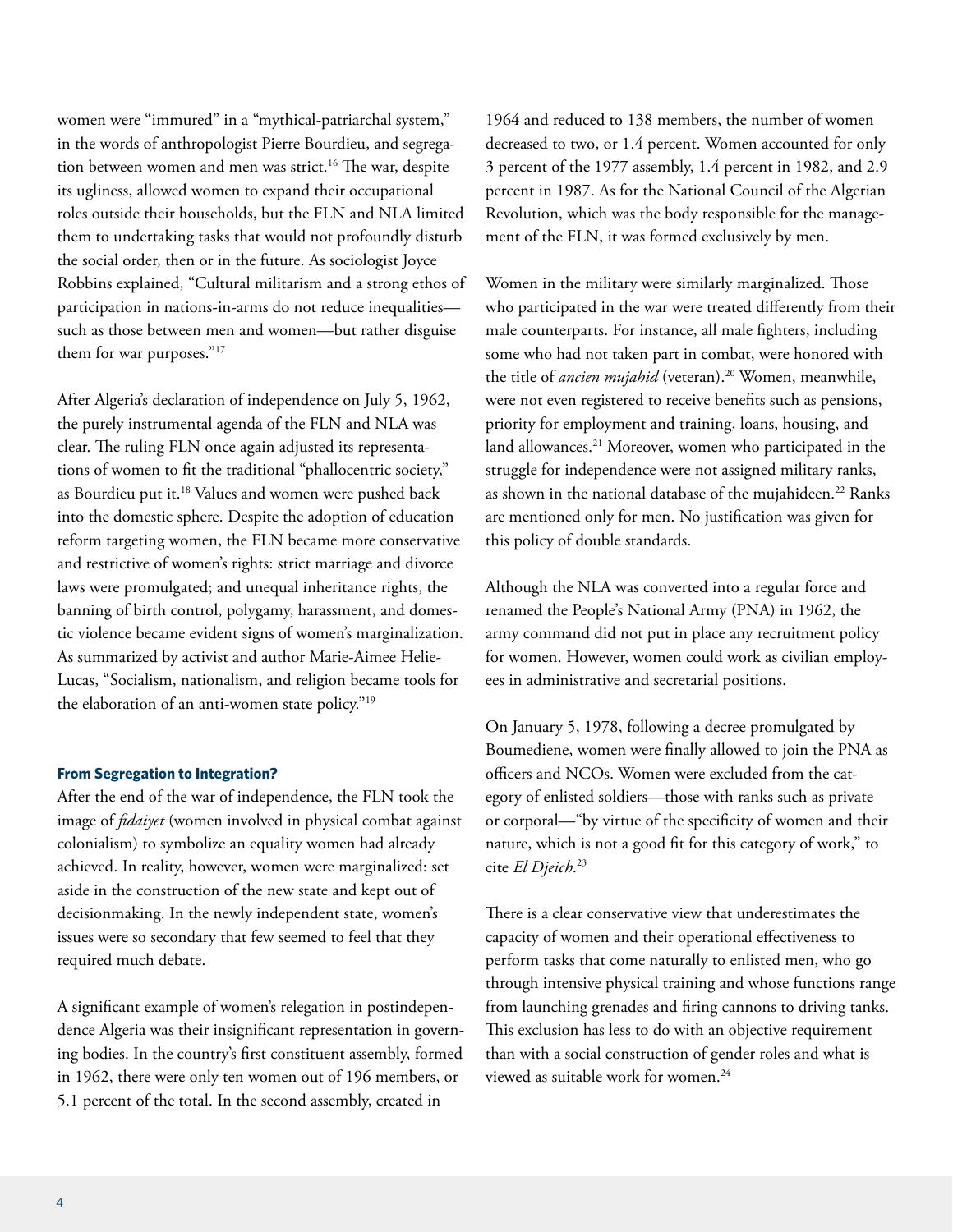women were "immured" in a "mythical-patriarchal system," in the words of anthropologist Pierre Bourdieu, and segregation between women and men was strict.<sup>16</sup> The war, despite its ugliness, allowed women to expand their occupational roles outside their households, but the FLN and NLA limited them to undertaking tasks that would not profoundly disturb the social order, then or in the future. As sociologist Joyce Robbins explained, "Cultural militarism and a strong ethos of participation in nations-in-arms do not reduce inequalities such as those between men and women—but rather disguise them for war purposes."<sup>17</sup>

After Algeria's declaration of independence on July 5, 1962, the purely instrumental agenda of the FLN and NLA was clear. The ruling FLN once again adjusted its representations of women to fit the traditional "phallocentric society," as Bourdieu put it.<sup>18</sup> Values and women were pushed back into the domestic sphere. Despite the adoption of education reform targeting women, the FLN became more conservative and restrictive of women's rights: strict marriage and divorce laws were promulgated; and unequal inheritance rights, the banning of birth control, polygamy, harassment, and domestic violence became evident signs of women's marginalization. As summarized by activist and author Marie-Aimee Helie-Lucas, "Socialism, nationalism, and religion became tools for the elaboration of an anti-women state policy."19

#### **From Segregation to Integration?**

After the end of the war of independence, the FLN took the image of *fidaiyet* (women involved in physical combat against colonialism) to symbolize an equality women had already achieved. In reality, however, women were marginalized: set aside in the construction of the new state and kept out of decisionmaking. In the newly independent state, women's issues were so secondary that few seemed to feel that they required much debate.

A significant example of women's relegation in postindependence Algeria was their insignificant representation in governing bodies. In the country's first constituent assembly, formed in 1962, there were only ten women out of 196 members, or 5.1 percent of the total. In the second assembly, created in

1964 and reduced to 138 members, the number of women decreased to two, or 1.4 percent. Women accounted for only 3 percent of the 1977 assembly, 1.4 percent in 1982, and 2.9 percent in 1987. As for the National Council of the Algerian Revolution, which was the body responsible for the management of the FLN, it was formed exclusively by men.

Women in the military were similarly marginalized. Those who participated in the war were treated differently from their male counterparts. For instance, all male fighters, including some who had not taken part in combat, were honored with the title of *ancien mujahid* (veteran).<sup>20</sup> Women, meanwhile, were not even registered to receive benefits such as pensions, priority for employment and training, loans, housing, and land allowances.<sup>21</sup> Moreover, women who participated in the struggle for independence were not assigned military ranks, as shown in the national database of the mujahideen.<sup>22</sup> Ranks are mentioned only for men. No justification was given for this policy of double standards.

Although the NLA was converted into a regular force and renamed the People's National Army (PNA) in 1962, the army command did not put in place any recruitment policy for women. However, women could work as civilian employees in administrative and secretarial positions.

On January 5, 1978, following a decree promulgated by Boumediene, women were finally allowed to join the PNA as officers and NCOs. Women were excluded from the category of enlisted soldiers—those with ranks such as private or corporal—"by virtue of the specificity of women and their nature, which is not a good fit for this category of work," to cite *El Djeich*. 23

There is a clear conservative view that underestimates the capacity of women and their operational effectiveness to perform tasks that come naturally to enlisted men, who go through intensive physical training and whose functions range from launching grenades and firing cannons to driving tanks. This exclusion has less to do with an objective requirement than with a social construction of gender roles and what is viewed as suitable work for women.24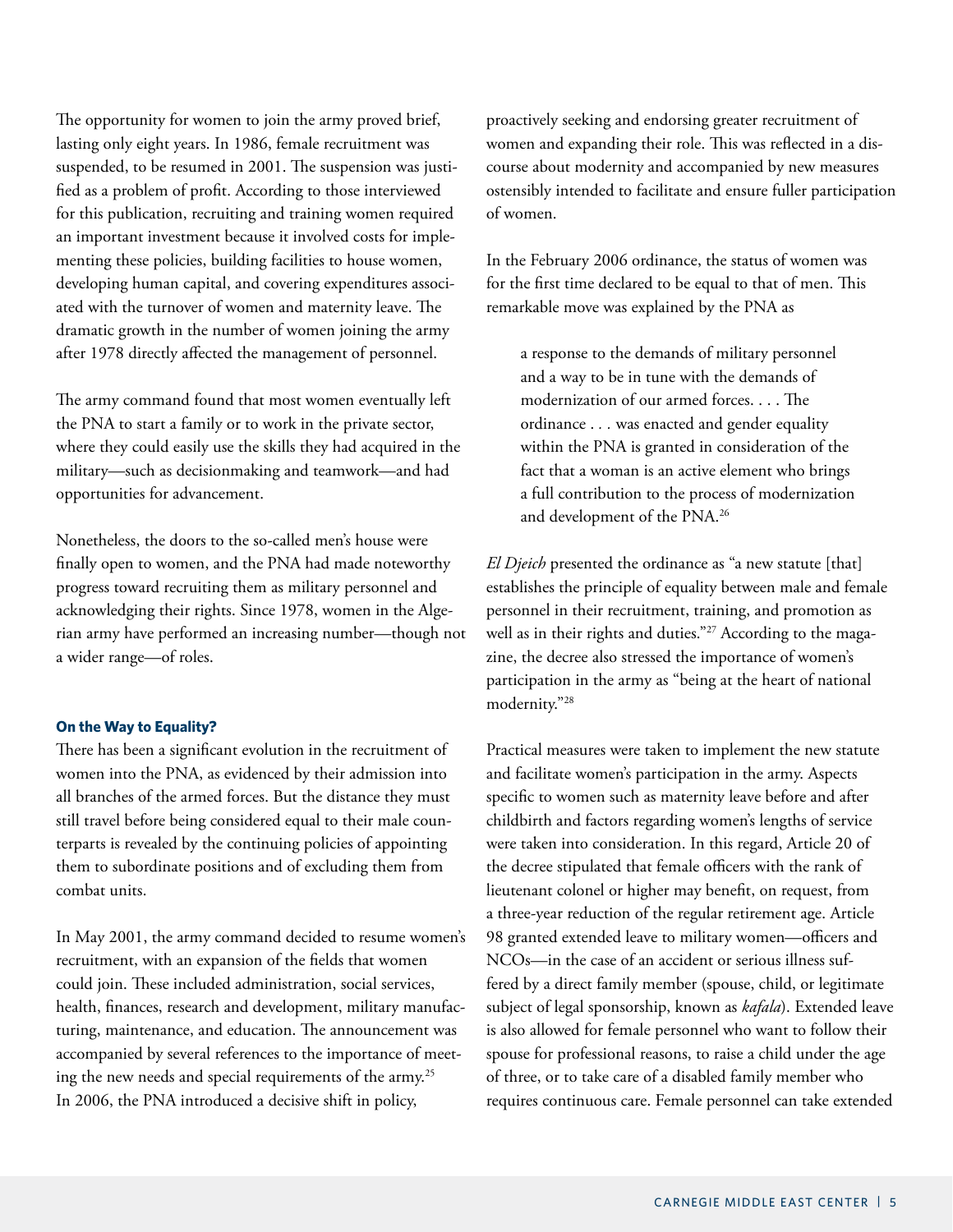The opportunity for women to join the army proved brief, lasting only eight years. In 1986, female recruitment was suspended, to be resumed in 2001. The suspension was justified as a problem of profit. According to those interviewed for this publication, recruiting and training women required an important investment because it involved costs for implementing these policies, building facilities to house women, developing human capital, and covering expenditures associated with the turnover of women and maternity leave. The dramatic growth in the number of women joining the army after 1978 directly affected the management of personnel.

The army command found that most women eventually left the PNA to start a family or to work in the private sector, where they could easily use the skills they had acquired in the military—such as decisionmaking and teamwork—and had opportunities for advancement.

Nonetheless, the doors to the so-called men's house were finally open to women, and the PNA had made noteworthy progress toward recruiting them as military personnel and acknowledging their rights. Since 1978, women in the Algerian army have performed an increasing number—though not a wider range—of roles.

#### **On the Way to Equality?**

There has been a significant evolution in the recruitment of women into the PNA, as evidenced by their admission into all branches of the armed forces. But the distance they must still travel before being considered equal to their male counterparts is revealed by the continuing policies of appointing them to subordinate positions and of excluding them from combat units.

In May 2001, the army command decided to resume women's recruitment, with an expansion of the fields that women could join. These included administration, social services, health, finances, research and development, military manufacturing, maintenance, and education. The announcement was accompanied by several references to the importance of meeting the new needs and special requirements of the army.25 In 2006, the PNA introduced a decisive shift in policy,

proactively seeking and endorsing greater recruitment of women and expanding their role. This was reflected in a discourse about modernity and accompanied by new measures ostensibly intended to facilitate and ensure fuller participation of women.

In the February 2006 ordinance, the status of women was for the first time declared to be equal to that of men. This remarkable move was explained by the PNA as

a response to the demands of military personnel and a way to be in tune with the demands of modernization of our armed forces. . . . The ordinance . *. .* was enacted and gender equality within the PNA is granted in consideration of the fact that a woman is an active element who brings a full contribution to the process of modernization and development of the PNA.26

*El Djeich* presented the ordinance as "a new statute [that] establishes the principle of equality between male and female personnel in their recruitment, training, and promotion as well as in their rights and duties."<sup>27</sup> According to the magazine, the decree also stressed the importance of women's participation in the army as "being at the heart of national modernity."28

Practical measures were taken to implement the new statute and facilitate women's participation in the army. Aspects specific to women such as maternity leave before and after childbirth and factors regarding women's lengths of service were taken into consideration. In this regard, Article 20 of the decree stipulated that female officers with the rank of lieutenant colonel or higher may benefit, on request, from a three-year reduction of the regular retirement age. Article 98 granted extended leave to military women—officers and NCOs—in the case of an accident or serious illness suffered by a direct family member (spouse, child, or legitimate subject of legal sponsorship, known as *kafala*). Extended leave is also allowed for female personnel who want to follow their spouse for professional reasons, to raise a child under the age of three, or to take care of a disabled family member who requires continuous care. Female personnel can take extended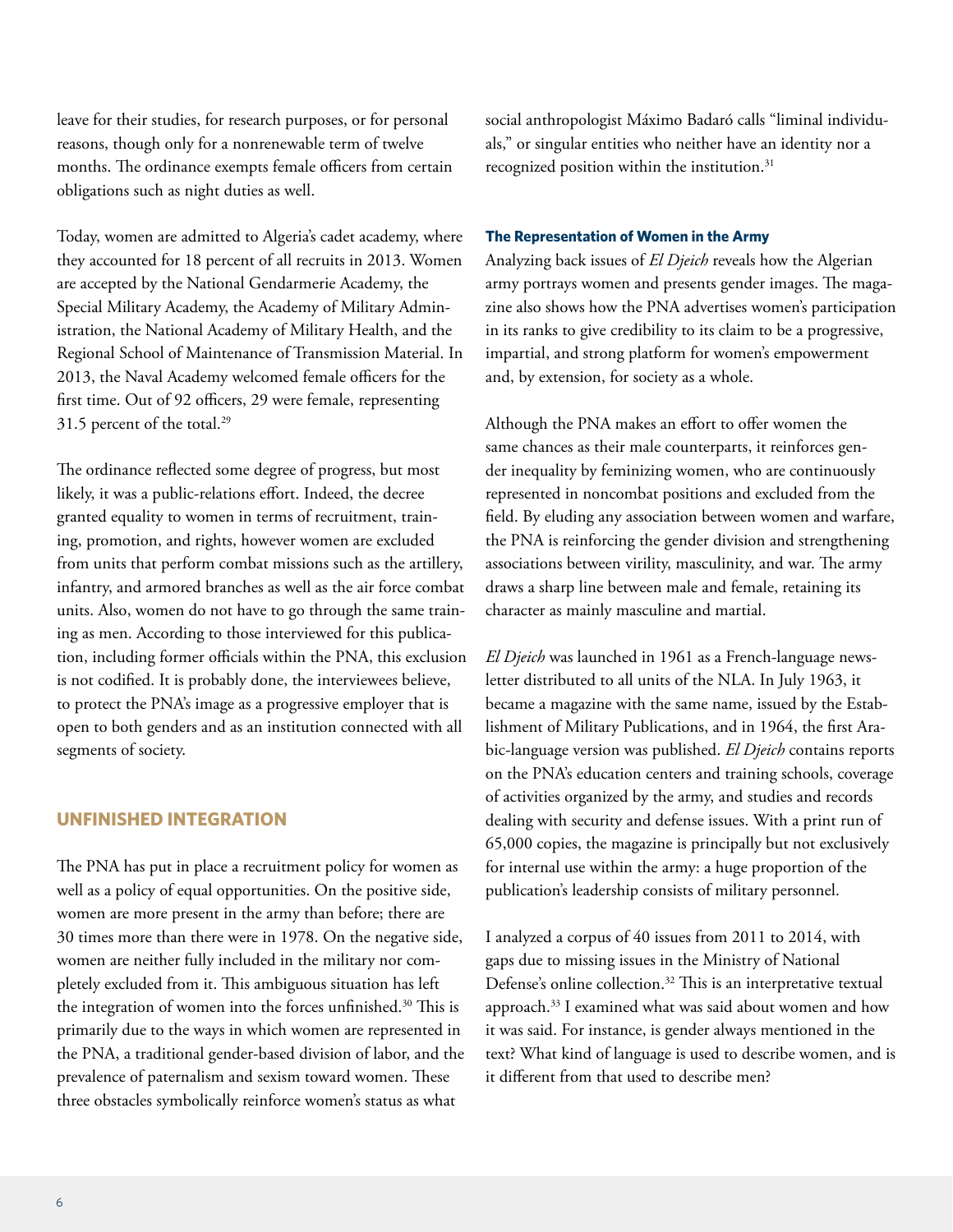leave for their studies, for research purposes, or for personal reasons, though only for a nonrenewable term of twelve months. The ordinance exempts female officers from certain obligations such as night duties as well.

Today, women are admitted to Algeria's cadet academy, where they accounted for 18 percent of all recruits in 2013. Women are accepted by the National Gendarmerie Academy, the Special Military Academy, the Academy of Military Administration, the National Academy of Military Health, and the Regional School of Maintenance of Transmission Material. In 2013, the Naval Academy welcomed female officers for the first time. Out of 92 officers, 29 were female, representing 31.5 percent of the total.<sup>29</sup>

The ordinance reflected some degree of progress, but most likely, it was a public-relations effort. Indeed, the decree granted equality to women in terms of recruitment, training, promotion, and rights, however women are excluded from units that perform combat missions such as the artillery, infantry, and armored branches as well as the air force combat units. Also, women do not have to go through the same training as men. According to those interviewed for this publication, including former officials within the PNA, this exclusion is not codified. It is probably done, the interviewees believe, to protect the PNA's image as a progressive employer that is open to both genders and as an institution connected with all segments of society.

## **UNFINISHED INTEGRATION**

The PNA has put in place a recruitment policy for women as well as a policy of equal opportunities. On the positive side, women are more present in the army than before; there are 30 times more than there were in 1978. On the negative side, women are neither fully included in the military nor completely excluded from it. This ambiguous situation has left the integration of women into the forces unfinished.<sup>30</sup> This is primarily due to the ways in which women are represented in the PNA, a traditional gender-based division of labor, and the prevalence of paternalism and sexism toward women. These three obstacles symbolically reinforce women's status as what

social anthropologist Máximo Badaró calls "liminal individuals," or singular entities who neither have an identity nor a recognized position within the institution.<sup>31</sup>

#### **The Representation of Women in the Army**

Analyzing back issues of *El Djeich* reveals how the Algerian army portrays women and presents gender images. The magazine also shows how the PNA advertises women's participation in its ranks to give credibility to its claim to be a progressive, impartial, and strong platform for women's empowerment and, by extension, for society as a whole.

Although the PNA makes an effort to offer women the same chances as their male counterparts, it reinforces gender inequality by feminizing women, who are continuously represented in noncombat positions and excluded from the field. By eluding any association between women and warfare, the PNA is reinforcing the gender division and strengthening associations between virility, masculinity, and war. The army draws a sharp line between male and female, retaining its character as mainly masculine and martial.

*El Djeich* was launched in 1961 as a French-language newsletter distributed to all units of the NLA. In July 1963, it became a magazine with the same name, issued by the Establishment of Military Publications, and in 1964, the first Arabic-language version was published. *El Djeich* contains reports on the PNA's education centers and training schools, coverage of activities organized by the army, and studies and records dealing with security and defense issues. With a print run of 65,000 copies, the magazine is principally but not exclusively for internal use within the army: a huge proportion of the publication's leadership consists of military personnel.

I analyzed a corpus of 40 issues from 2011 to 2014, with gaps due to missing issues in the Ministry of National Defense's online collection.<sup>32</sup> This is an interpretative textual approach.<sup>33</sup> I examined what was said about women and how it was said. For instance, is gender always mentioned in the text? What kind of language is used to describe women, and is it different from that used to describe men?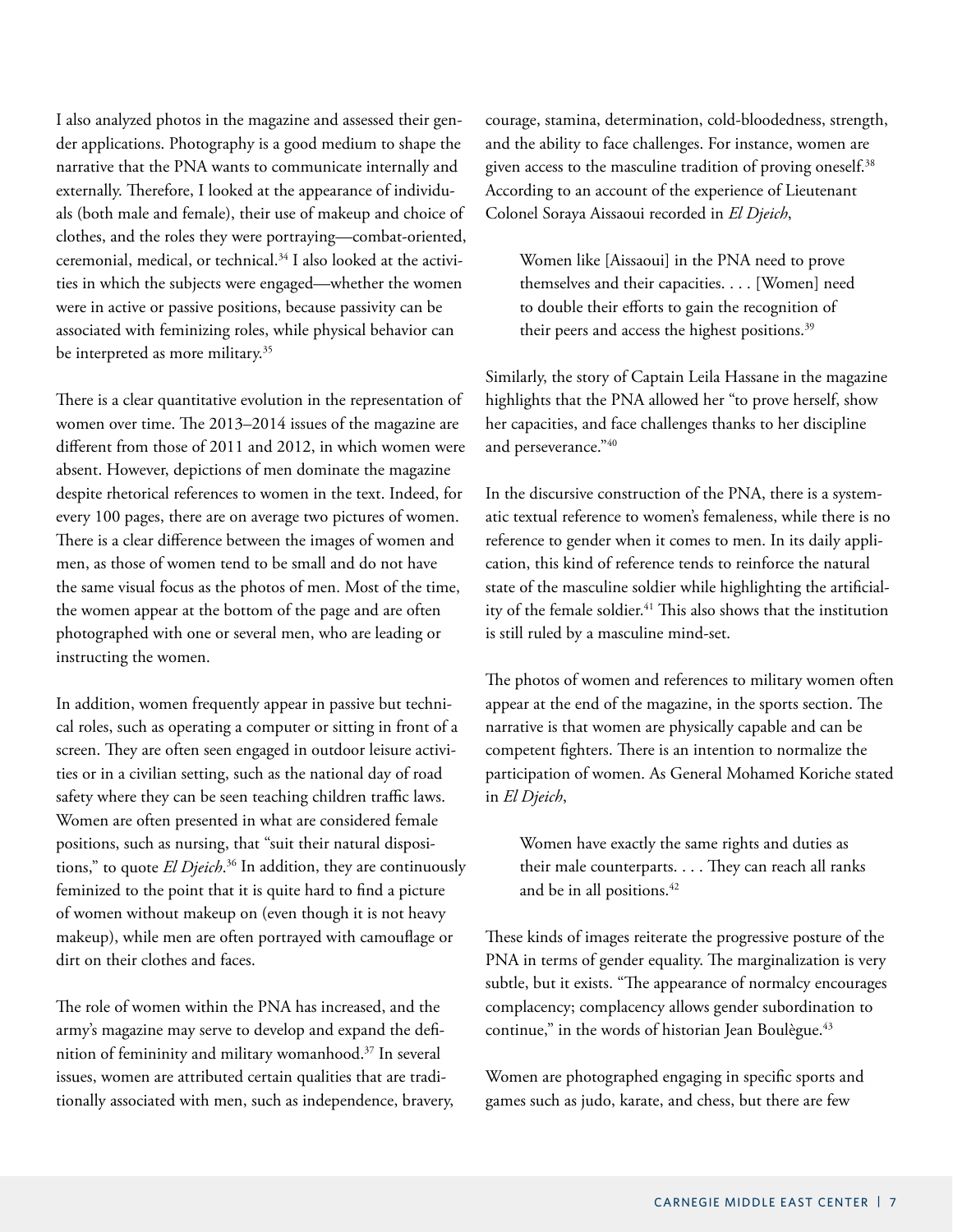I also analyzed photos in the magazine and assessed their gender applications. Photography is a good medium to shape the narrative that the PNA wants to communicate internally and externally. Therefore, I looked at the appearance of individuals (both male and female), their use of makeup and choice of clothes, and the roles they were portraying—combat-oriented, ceremonial, medical, or technical.34 I also looked at the activities in which the subjects were engaged—whether the women were in active or passive positions, because passivity can be associated with feminizing roles, while physical behavior can be interpreted as more military.<sup>35</sup>

There is a clear quantitative evolution in the representation of women over time. The 2013–2014 issues of the magazine are different from those of 2011 and 2012, in which women were absent. However, depictions of men dominate the magazine despite rhetorical references to women in the text. Indeed, for every 100 pages, there are on average two pictures of women. There is a clear difference between the images of women and men, as those of women tend to be small and do not have the same visual focus as the photos of men. Most of the time, the women appear at the bottom of the page and are often photographed with one or several men, who are leading or instructing the women.

In addition, women frequently appear in passive but technical roles, such as operating a computer or sitting in front of a screen. They are often seen engaged in outdoor leisure activities or in a civilian setting, such as the national day of road safety where they can be seen teaching children traffic laws. Women are often presented in what are considered female positions, such as nursing, that "suit their natural dispositions," to quote *El Djeich*. 36 In addition, they are continuously feminized to the point that it is quite hard to find a picture of women without makeup on (even though it is not heavy makeup), while men are often portrayed with camouflage or dirt on their clothes and faces.

The role of women within the PNA has increased, and the army's magazine may serve to develop and expand the definition of femininity and military womanhood.37 In several issues, women are attributed certain qualities that are traditionally associated with men, such as independence, bravery, courage, stamina, determination, cold-bloodedness, strength, and the ability to face challenges. For instance, women are given access to the masculine tradition of proving oneself.<sup>38</sup> According to an account of the experience of Lieutenant Colonel Soraya Aissaoui recorded in *El Djeich*,

Women like [Aissaoui] in the PNA need to prove themselves and their capacities. . . . [Women] need to double their efforts to gain the recognition of their peers and access the highest positions.<sup>39</sup>

Similarly, the story of Captain Leila Hassane in the magazine highlights that the PNA allowed her "to prove herself, show her capacities, and face challenges thanks to her discipline and perseverance."40

In the discursive construction of the PNA, there is a systematic textual reference to women's femaleness, while there is no reference to gender when it comes to men. In its daily application, this kind of reference tends to reinforce the natural state of the masculine soldier while highlighting the artificiality of the female soldier.<sup>41</sup> This also shows that the institution is still ruled by a masculine mind-set.

The photos of women and references to military women often appear at the end of the magazine, in the sports section. The narrative is that women are physically capable and can be competent fighters. There is an intention to normalize the participation of women. As General Mohamed Koriche stated in *El Djeich*,

Women have exactly the same rights and duties as their male counterparts. . . . They can reach all ranks and be in all positions.<sup>42</sup>

These kinds of images reiterate the progressive posture of the PNA in terms of gender equality. The marginalization is very subtle, but it exists. "The appearance of normalcy encourages complacency; complacency allows gender subordination to continue," in the words of historian Jean Boulègue.<sup>43</sup>

Women are photographed engaging in specific sports and games such as judo, karate, and chess, but there are few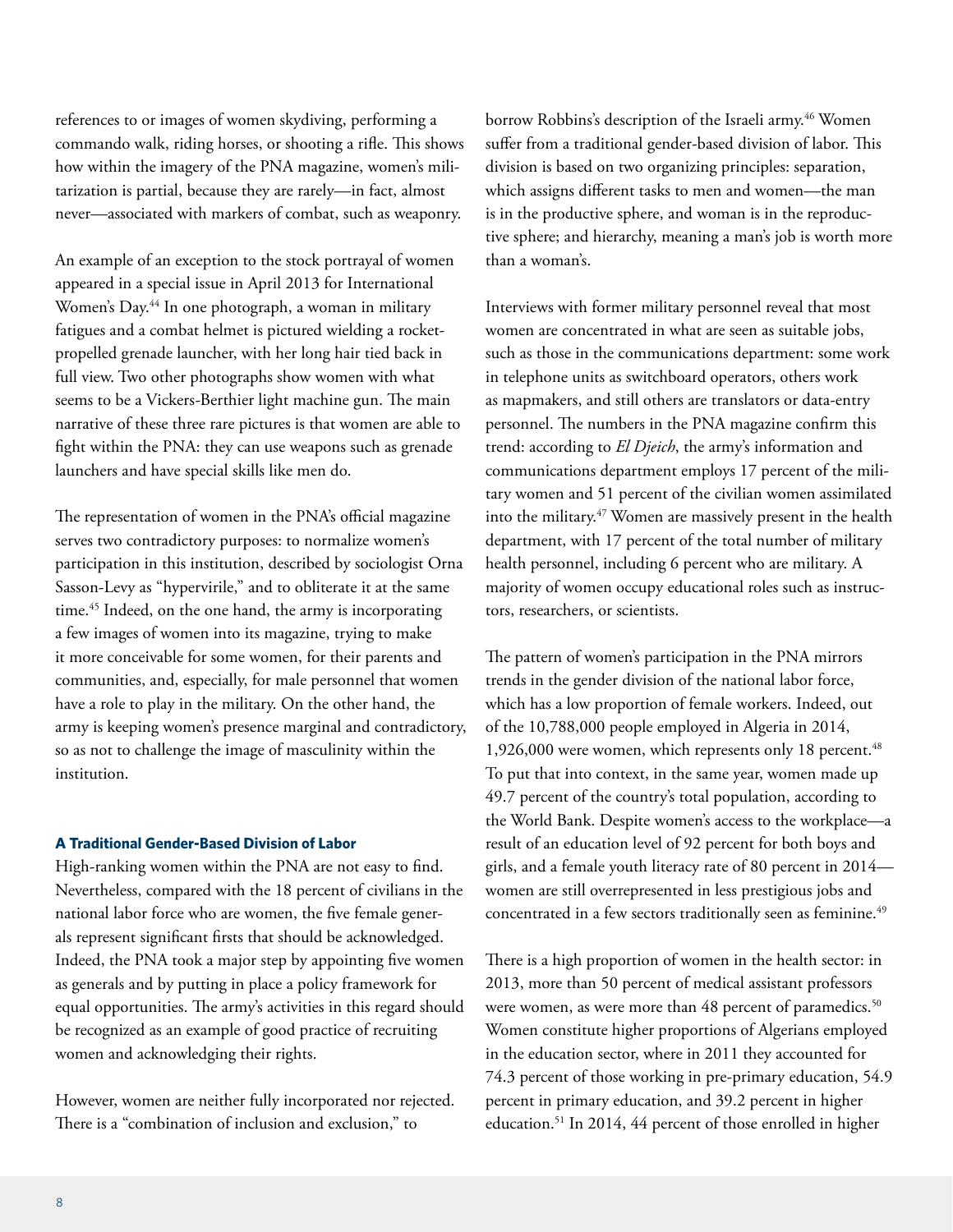references to or images of women skydiving, performing a commando walk, riding horses, or shooting a rifle. This shows how within the imagery of the PNA magazine, women's militarization is partial, because they are rarely—in fact, almost never—associated with markers of combat, such as weaponry.

An example of an exception to the stock portrayal of women appeared in a special issue in April 2013 for International Women's Day.44 In one photograph, a woman in military fatigues and a combat helmet is pictured wielding a rocketpropelled grenade launcher, with her long hair tied back in full view. Two other photographs show women with what seems to be a Vickers*-*Berthier light machine gun. The main narrative of these three rare pictures is that women are able to fight within the PNA: they can use weapons such as grenade launchers and have special skills like men do.

The representation of women in the PNA's official magazine serves two contradictory purposes: to normalize women's participation in this institution, described by sociologist Orna Sasson-Levy as "hypervirile," and to obliterate it at the same time.45 Indeed, on the one hand, the army is incorporating a few images of women into its magazine, trying to make it more conceivable for some women, for their parents and communities, and, especially, for male personnel that women have a role to play in the military. On the other hand, the army is keeping women's presence marginal and contradictory, so as not to challenge the image of masculinity within the institution.

## **A Traditional Gender-Based Division of Labor**

High-ranking women within the PNA are not easy to find. Nevertheless, compared with the 18 percent of civilians in the national labor force who are women, the five female generals represent significant firsts that should be acknowledged. Indeed, the PNA took a major step by appointing five women as generals and by putting in place a policy framework for equal opportunities. The army's activities in this regard should be recognized as an example of good practice of recruiting women and acknowledging their rights.

However, women are neither fully incorporated nor rejected. There is a "combination of inclusion and exclusion," to

borrow Robbins's description of the Israeli army.<sup>46</sup> Women suffer from a traditional gender-based division of labor. This division is based on two organizing principles: separation, which assigns different tasks to men and women—the man is in the productive sphere, and woman is in the reproductive sphere; and hierarchy, meaning a man's job is worth more than a woman's.

Interviews with former military personnel reveal that most women are concentrated in what are seen as suitable jobs, such as those in the communications department: some work in telephone units as switchboard operators, others work as mapmakers, and still others are translators or data-entry personnel. The numbers in the PNA magazine confirm this trend: according to *El Djeich*, the army's information and communications department employs 17 percent of the military women and 51 percent of the civilian women assimilated into the military.<sup>47</sup> Women are massively present in the health department, with 17 percent of the total number of military health personnel, including 6 percent who are military. A majority of women occupy educational roles such as instructors, researchers, or scientists.

The pattern of women's participation in the PNA mirrors trends in the gender division of the national labor force, which has a low proportion of female workers. Indeed, out of the 10,788,000 people employed in Algeria in 2014, 1,926,000 were women, which represents only 18 percent.<sup>48</sup> To put that into context, in the same year, women made up 49.7 percent of the country's total population, according to the World Bank. Despite women's access to the workplace—a result of an education level of 92 percent for both boys and girls, and a female youth literacy rate of 80 percent in 2014 women are still overrepresented in less prestigious jobs and concentrated in a few sectors traditionally seen as feminine.<sup>49</sup>

There is a high proportion of women in the health sector: in 2013, more than 50 percent of medical assistant professors were women, as were more than 48 percent of paramedics.<sup>50</sup> Women constitute higher proportions of Algerians employed in the education sector, where in 2011 they accounted for 74.3 percent of those working in pre-primary education, 54.9 percent in primary education, and 39.2 percent in higher education. 51 In 2014, 44 percent of those enrolled in higher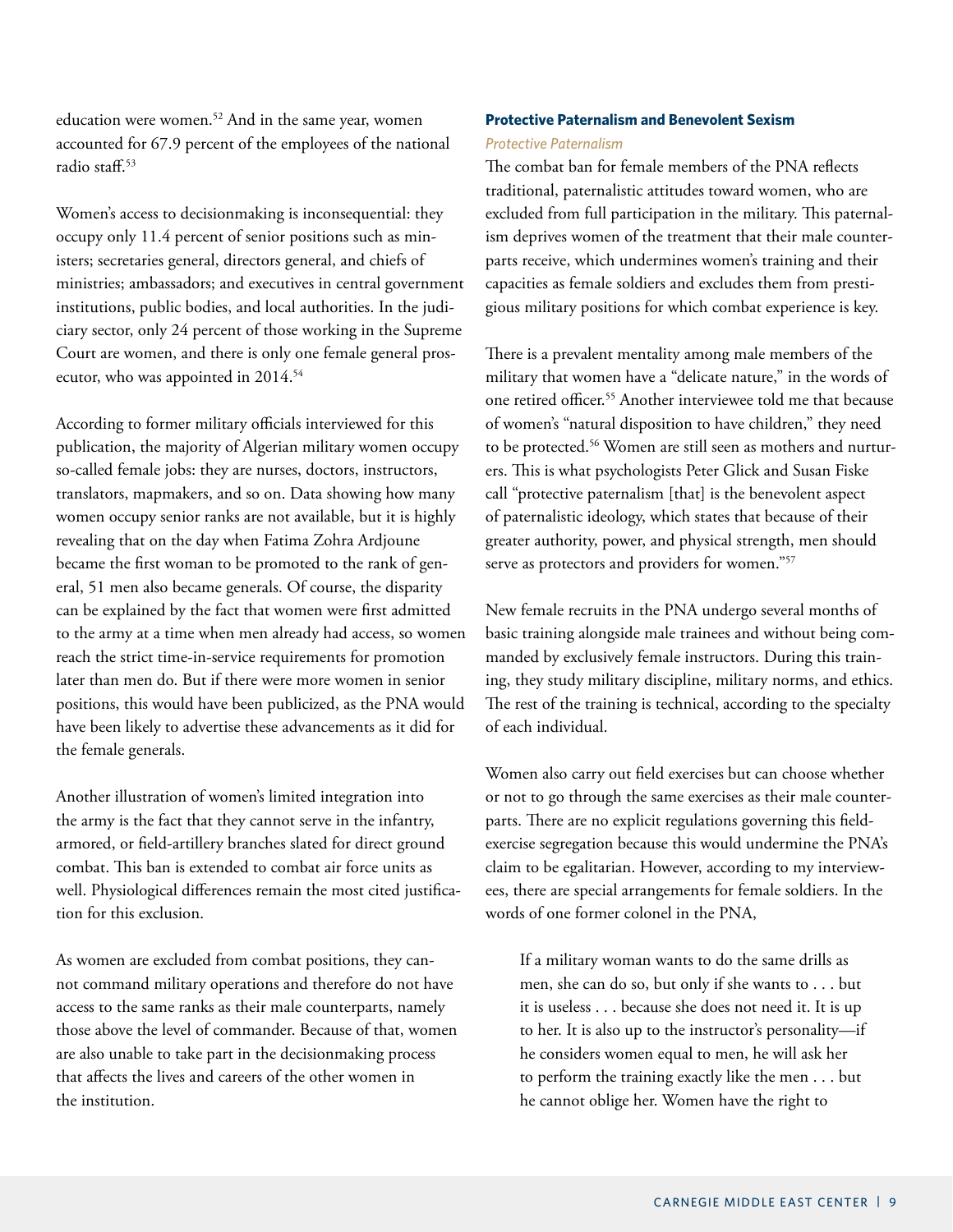education were women.<sup>52</sup> And in the same year, women accounted for 67.9 percent of the employees of the national radio staff.<sup>53</sup>

Women's access to decisionmaking is inconsequential: they occupy only 11.4 percent of senior positions such as ministers; secretaries general, directors general, and chiefs of ministries; ambassadors; and executives in central government institutions, public bodies, and local authorities. In the judiciary sector, only 24 percent of those working in the Supreme Court are women, and there is only one female general prosecutor, who was appointed in 2014.<sup>54</sup>

According to former military officials interviewed for this publication, the majority of Algerian military women occupy so-called female jobs: they are nurses, doctors, instructors, translators, mapmakers, and so on. Data showing how many women occupy senior ranks are not available, but it is highly revealing that on the day when Fatima Zohra Ardjoune became the first woman to be promoted to the rank of general, 51 men also became generals. Of course, the disparity can be explained by the fact that women were first admitted to the army at a time when men already had access, so women reach the strict time-in-service requirements for promotion later than men do. But if there were more women in senior positions, this would have been publicized, as the PNA would have been likely to advertise these advancements as it did for the female generals.

Another illustration of women's limited integration into the army is the fact that they cannot serve in the infantry, armored, or field-artillery branches slated for direct ground combat. This ban is extended to combat air force units as well. Physiological differences remain the most cited justification for this exclusion.

As women are excluded from combat positions, they cannot command military operations and therefore do not have access to the same ranks as their male counterparts, namely those above the level of commander. Because of that, women are also unable to take part in the decisionmaking process that affects the lives and careers of the other women in the institution.

## **Protective Paternalism and Benevolent Sexism** *Protective Paternalism*

The combat ban for female members of the PNA reflects traditional, paternalistic attitudes toward women, who are excluded from full participation in the military. This paternalism deprives women of the treatment that their male counterparts receive, which undermines women's training and their capacities as female soldiers and excludes them from prestigious military positions for which combat experience is key.

There is a prevalent mentality among male members of the military that women have a "delicate nature," in the words of one retired officer.55 Another interviewee told me that because of women's "natural disposition to have children," they need to be protected.<sup>56</sup> Women are still seen as mothers and nurturers. This is what psychologists Peter Glick and Susan Fiske call "protective paternalism [that] is the benevolent aspect of paternalistic ideology, which states that because of their greater authority, power, and physical strength, men should serve as protectors and providers for women."<sup>57</sup>

New female recruits in the PNA undergo several months of basic training alongside male trainees and without being commanded by exclusively female instructors. During this training, they study military discipline, military norms, and ethics. The rest of the training is technical, according to the specialty of each individual.

Women also carry out field exercises but can choose whether or not to go through the same exercises as their male counterparts. There are no explicit regulations governing this fieldexercise segregation because this would undermine the PNA's claim to be egalitarian. However, according to my interviewees, there are special arrangements for female soldiers. In the words of one former colonel in the PNA,

If a military woman wants to do the same drills as men, she can do so, but only if she wants to . . . but it is useless . . . because she does not need it. It is up to her. It is also up to the instructor's personality—if he considers women equal to men, he will ask her to perform the training exactly like the men . . . but he cannot oblige her. Women have the right to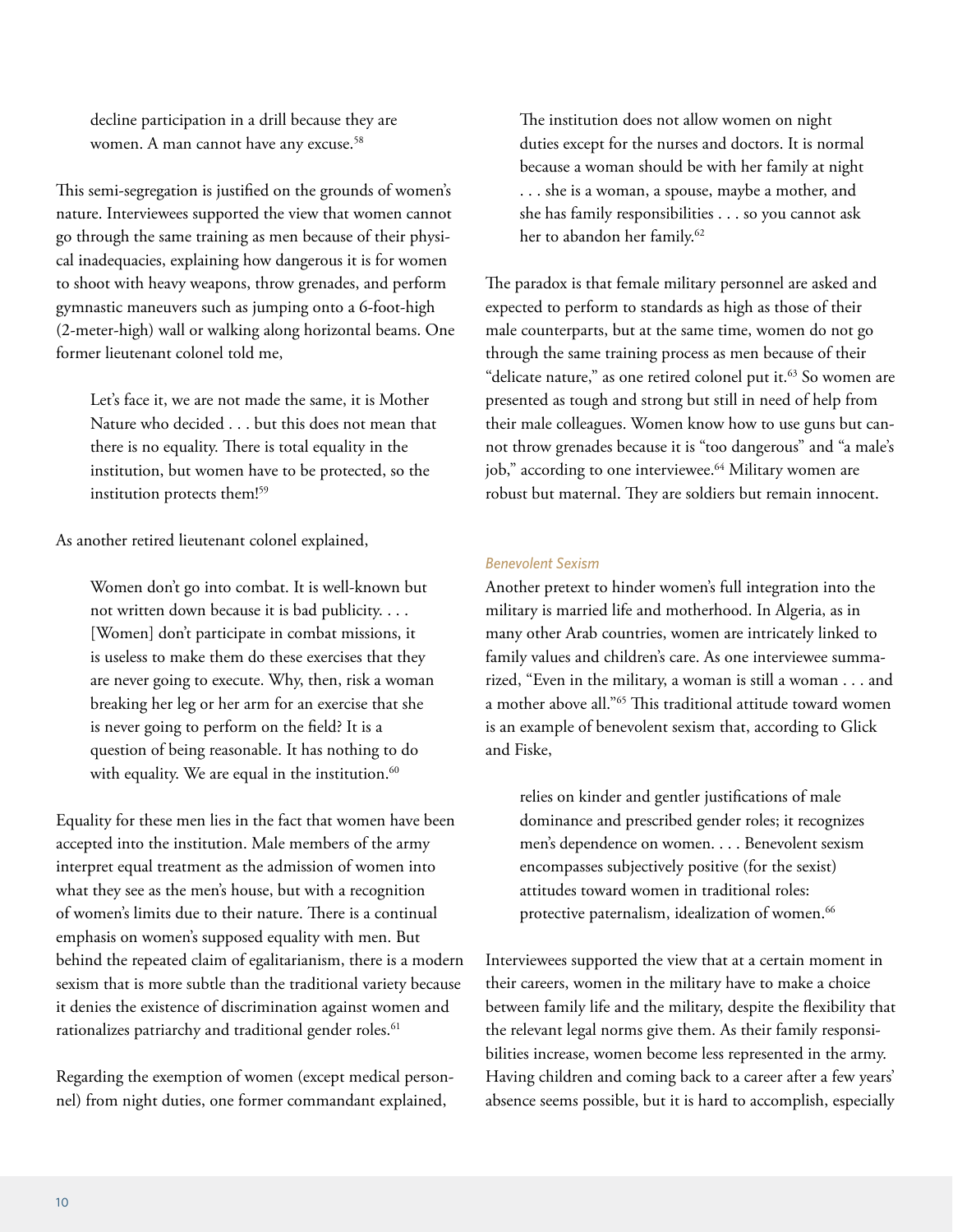decline participation in a drill because they are women. A man cannot have any excuse.<sup>58</sup>

This semi-segregation is justified on the grounds of women's nature. Interviewees supported the view that women cannot go through the same training as men because of their physical inadequacies, explaining how dangerous it is for women to shoot with heavy weapons, throw grenades, and perform gymnastic maneuvers such as jumping onto a 6-foot-high (2-meter-high) wall or walking along horizontal beams. One former lieutenant colonel told me,

Let's face it, we are not made the same, it is Mother Nature who decided . . . but this does not mean that there is no equality. There is total equality in the institution, but women have to be protected, so the institution protects them!59

As another retired lieutenant colonel explained,

Women don't go into combat. It is well-known but not written down because it is bad publicity. . . . [Women] don't participate in combat missions, it is useless to make them do these exercises that they are never going to execute. Why, then, risk a woman breaking her leg or her arm for an exercise that she is never going to perform on the field? It is a question of being reasonable. It has nothing to do with equality. We are equal in the institution.<sup>60</sup>

Equality for these men lies in the fact that women have been accepted into the institution. Male members of the army interpret equal treatment as the admission of women into what they see as the men's house, but with a recognition of women's limits due to their nature. There is a continual emphasis on women's supposed equality with men. But behind the repeated claim of egalitarianism, there is a modern sexism that is more subtle than the traditional variety because it denies the existence of discrimination against women and rationalizes patriarchy and traditional gender roles.<sup>61</sup>

Regarding the exemption of women (except medical personnel) from night duties, one former commandant explained,

The institution does not allow women on night duties except for the nurses and doctors. It is normal because a woman should be with her family at night . . . she is a woman, a spouse, maybe a mother, and she has family responsibilities . . . so you cannot ask her to abandon her family.<sup>62</sup>

The paradox is that female military personnel are asked and expected to perform to standards as high as those of their male counterparts, but at the same time, women do not go through the same training process as men because of their "delicate nature," as one retired colonel put it.<sup>63</sup> So women are presented as tough and strong but still in need of help from their male colleagues. Women know how to use guns but cannot throw grenades because it is "too dangerous" and "a male's job," according to one interviewee.<sup>64</sup> Military women are robust but maternal. They are soldiers but remain innocent.

## *Benevolent Sexism*

Another pretext to hinder women's full integration into the military is married life and motherhood. In Algeria, as in many other Arab countries, women are intricately linked to family values and children's care. As one interviewee summarized, "Even in the military, a woman is still a woman . . . and a mother above all."65 This traditional attitude toward women is an example of benevolent sexism that, according to Glick and Fiske,

relies on kinder and gentler justifications of male dominance and prescribed gender roles; it recognizes men's dependence on women. . . . Benevolent sexism encompasses subjectively positive (for the sexist) attitudes toward women in traditional roles: protective paternalism, idealization of women.<sup>66</sup>

Interviewees supported the view that at a certain moment in their careers, women in the military have to make a choice between family life and the military, despite the flexibility that the relevant legal norms give them. As their family responsibilities increase, women become less represented in the army. Having children and coming back to a career after a few years' absence seems possible, but it is hard to accomplish, especially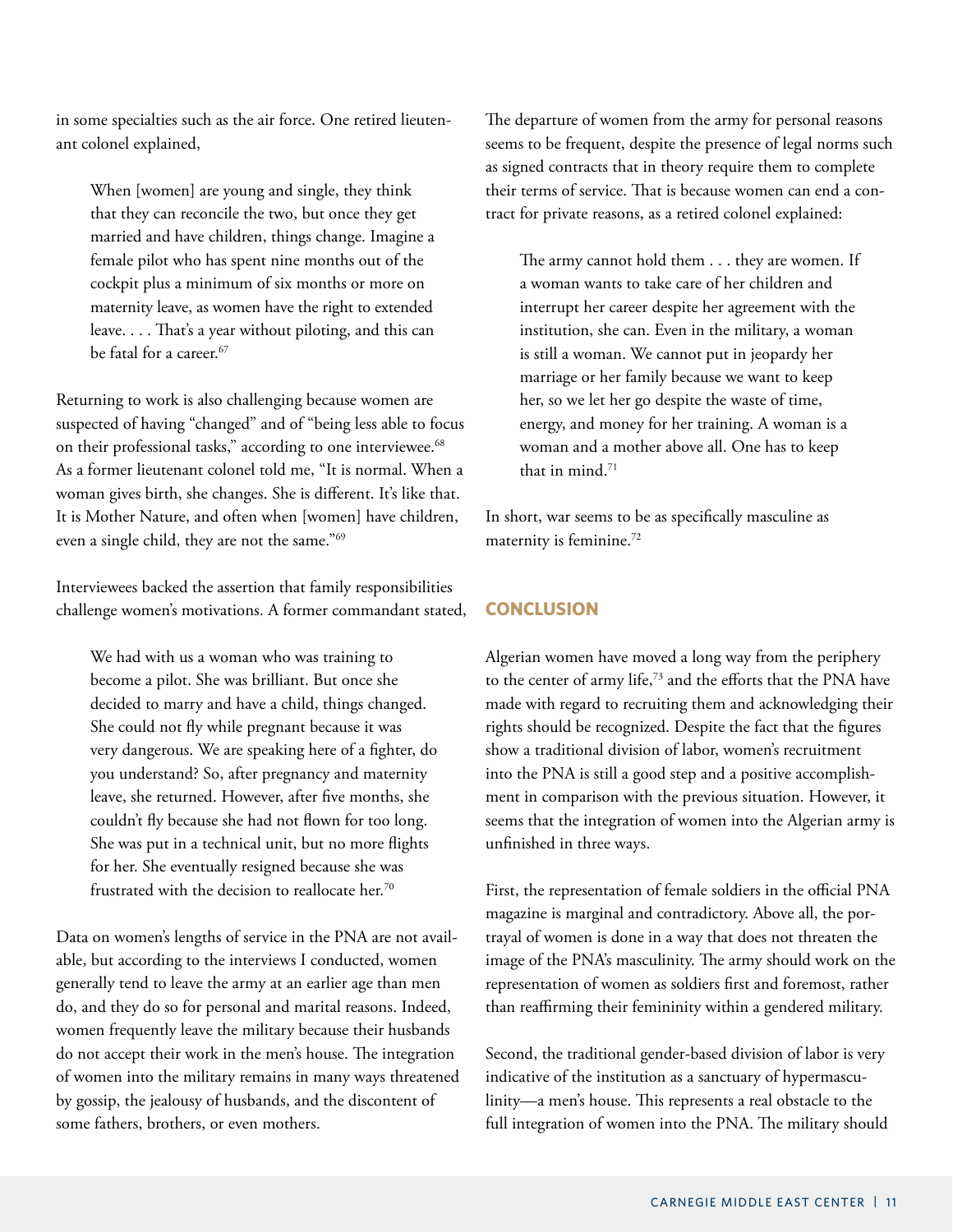in some specialties such as the air force. One retired lieutenant colonel explained,

When [women] are young and single, they think that they can reconcile the two, but once they get married and have children, things change. Imagine a female pilot who has spent nine months out of the cockpit plus a minimum of six months or more on maternity leave, as women have the right to extended leave. . . . That's a year without piloting, and this can be fatal for a career.<sup>67</sup>

Returning to work is also challenging because women are suspected of having "changed" and of "being less able to focus on their professional tasks," according to one interviewee.<sup>68</sup> As a former lieutenant colonel told me, "It is normal. When a woman gives birth, she changes. She is different. It's like that. It is Mother Nature, and often when [women] have children, even a single child, they are not the same."69

Interviewees backed the assertion that family responsibilities challenge women's motivations. A former commandant stated,

We had with us a woman who was training to become a pilot. She was brilliant. But once she decided to marry and have a child, things changed. She could not fly while pregnant because it was very dangerous. We are speaking here of a fighter, do you understand? So, after pregnancy and maternity leave, she returned. However, after five months, she couldn't fly because she had not flown for too long. She was put in a technical unit, but no more flights for her. She eventually resigned because she was frustrated with the decision to reallocate her.<sup>70</sup>

Data on women's lengths of service in the PNA are not available, but according to the interviews I conducted, women generally tend to leave the army at an earlier age than men do, and they do so for personal and marital reasons. Indeed, women frequently leave the military because their husbands do not accept their work in the men's house. The integration of women into the military remains in many ways threatened by gossip, the jealousy of husbands, and the discontent of some fathers, brothers, or even mothers.

The departure of women from the army for personal reasons seems to be frequent, despite the presence of legal norms such as signed contracts that in theory require them to complete their terms of service. That is because women can end a contract for private reasons, as a retired colonel explained:

The army cannot hold them . . . they are women. If a woman wants to take care of her children and interrupt her career despite her agreement with the institution, she can. Even in the military, a woman is still a woman. We cannot put in jeopardy her marriage or her family because we want to keep her, so we let her go despite the waste of time, energy, and money for her training. A woman is a woman and a mother above all. One has to keep that in mind.<sup>71</sup>

In short, war seems to be as specifically masculine as maternity is feminine.<sup>72</sup>

# **CONCLUSION**

Algerian women have moved a long way from the periphery to the center of army life,<sup>73</sup> and the efforts that the PNA have made with regard to recruiting them and acknowledging their rights should be recognized. Despite the fact that the figures show a traditional division of labor, women's recruitment into the PNA is still a good step and a positive accomplishment in comparison with the previous situation. However, it seems that the integration of women into the Algerian army is unfinished in three ways.

First, the representation of female soldiers in the official PNA magazine is marginal and contradictory. Above all, the portrayal of women is done in a way that does not threaten the image of the PNA's masculinity. The army should work on the representation of women as soldiers first and foremost, rather than reaffirming their femininity within a gendered military.

Second, the traditional gender-based division of labor is very indicative of the institution as a sanctuary of hypermasculinity—a men's house. This represents a real obstacle to the full integration of women into the PNA. The military should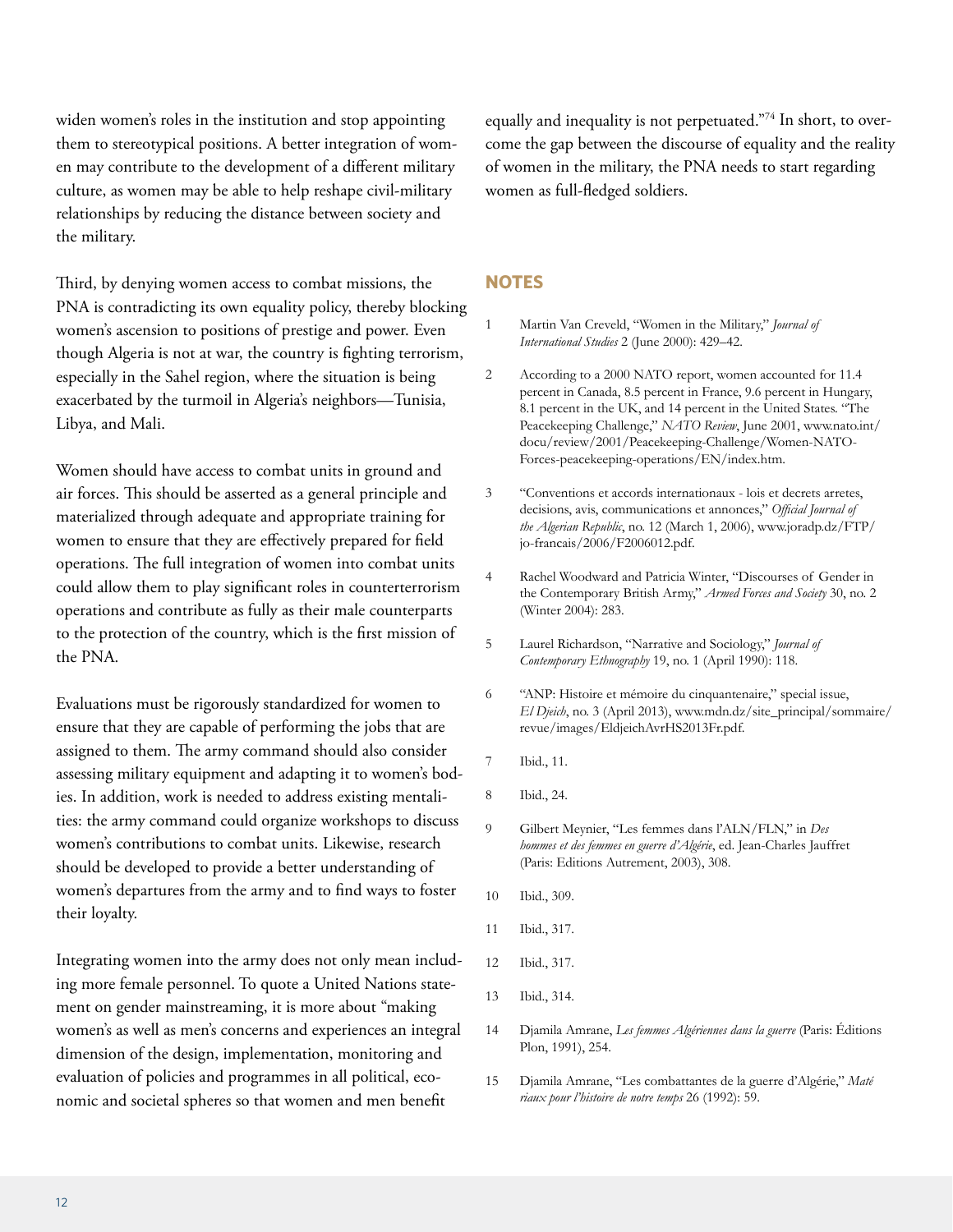widen women's roles in the institution and stop appointing them to stereotypical positions. A better integration of women may contribute to the development of a different military culture, as women may be able to help reshape civil-military relationships by reducing the distance between society and the military.

Third, by denying women access to combat missions, the PNA is contradicting its own equality policy, thereby blocking women's ascension to positions of prestige and power. Even though Algeria is not at war, the country is fighting terrorism, especially in the Sahel region, where the situation is being exacerbated by the turmoil in Algeria's neighbors—Tunisia, Libya, and Mali.

Women should have access to combat units in ground and air forces. This should be asserted as a general principle and materialized through adequate and appropriate training for women to ensure that they are effectively prepared for field operations. The full integration of women into combat units could allow them to play significant roles in counterterrorism operations and contribute as fully as their male counterparts to the protection of the country, which is the first mission of the PNA.

Evaluations must be rigorously standardized for women to ensure that they are capable of performing the jobs that are assigned to them. The army command should also consider assessing military equipment and adapting it to women's bodies. In addition, work is needed to address existing mentalities: the army command could organize workshops to discuss women's contributions to combat units. Likewise, research should be developed to provide a better understanding of women's departures from the army and to find ways to foster their loyalty.

Integrating women into the army does not only mean including more female personnel. To quote a United Nations statement on gender mainstreaming, it is more about "making women's as well as men's concerns and experiences an integral dimension of the design, implementation, monitoring and evaluation of policies and programmes in all political, economic and societal spheres so that women and men benefit

equally and inequality is not perpetuated."<sup>74</sup> In short, to overcome the gap between the discourse of equality and the reality of women in the military, the PNA needs to start regarding women as full-fledged soldiers.

## **NOTES**

- 1 Martin Van Creveld, "Women in the Military," *Journal of International Studies* 2 (June 2000): 429–42.
- 2 According to a 2000 NATO report, women accounted for 11.4 percent in Canada, 8.5 percent in France, 9.6 percent in Hungary, 8.1 percent in the UK, and 14 percent in the United States. "The Peacekeeping Challenge," *NATO Review*, June 2001, www.nato.int/ docu/review/2001/Peacekeeping-Challenge/Women-NATO-Forces-peacekeeping-operations/EN/index.htm.
- 3 "Conventions et accords internationaux lois et decrets arretes, decisions, avis, communications et annonces," *Official Journal of the Algerian Republic*, no. 12 (March 1, 2006), www.joradp.dz/FTP/ jo-francais/2006/F2006012.pdf.
- 4 Rachel Woodward and Patricia Winter, "Discourses of Gender in the Contemporary British Army," *Armed Forces and Society* 30, no. 2 (Winter 2004): 283.
- 5 Laurel Richardson, "Narrative and Sociology," *Journal of Contemporary Ethnography* 19, no. 1 (April 1990): 118.
- 6 "ANP: Histoire et mémoire du cinquantenaire," special issue, *El Djeich*, no. 3 (April 2013), www.mdn.dz/site\_principal/sommaire/ revue/images/EldjeichAvrHS2013Fr.pdf.
- 7 Ibid., 11.
- 8 Ibid., 24.
- 9 Gilbert Meynier, "Les femmes dans l'ALN/FLN," in *Des hommes et des femmes en guerre d'Algérie*, ed. Jean-Charles Jauffret (Paris: Editions Autrement, 2003), 308.
- 10 Ibid., 309.
- 11 Ibid., 317.
- 12 Ibid., 317.
- 13 Ibid., 314.
- 14 Djamila Amrane, *Les femmes Algériennes dans la guerre* (Paris: Éditions Plon, 1991), 254.
- 15 Djamila Amrane, "Les combattantes de la guerre d'Algérie," *Maté riaux pour l'histoire de notre temps* 26 (1992): 59.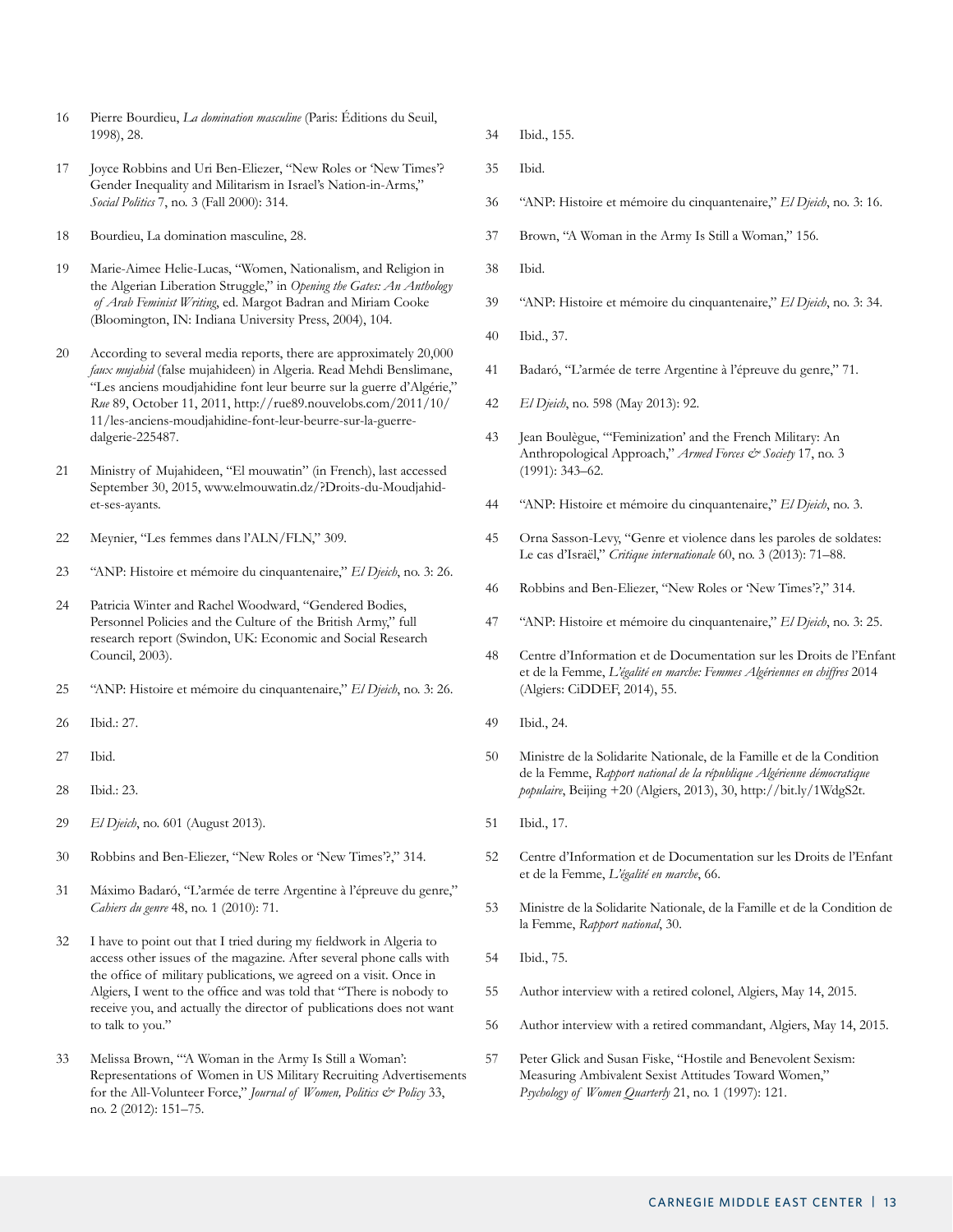- 16 Pierre Bourdieu, *La domination masculine* (Paris: Éditions du Seuil, 1998), 28.
- 17 Joyce Robbins and Uri Ben-Eliezer, "New Roles or 'New Times'? Gender Inequality and Militarism in Israel's Nation-in-Arms," *Social Politics* 7, no. 3 (Fall 2000): 314.
- 18 Bourdieu, La domination masculine, 28.
- 19 Marie-Aimee Helie-Lucas, "Women, Nationalism, and Religion in the Algerian Liberation Struggle," in *Opening the Gates: An Anthology of Arab Feminist Writing*, ed. Margot Badran and Miriam Cooke (Bloomington, IN: Indiana University Press, 2004), 104.
- 20 According to several media reports, there are approximately 20,000 *faux mujahid* (false mujahideen) in Algeria. Read Mehdi Benslimane, "Les anciens moudjahidine font leur beurre sur la guerre d'Algérie," *Rue* 89, October 11, 2011, http://rue89.nouvelobs.com/2011/10/ 11/les-anciens-moudjahidine-font-leur-beurre-sur-la-guerredalgerie-225487.
- 21 Ministry of Mujahideen, "El mouwatin" (in French), last accessed September 30, 2015, www.elmouwatin.dz/?Droits-du-Moudjahidet-ses-ayants.
- 22 Meynier, "Les femmes dans l'ALN/FLN," 309.
- 23 "ANP: Histoire et mémoire du cinquantenaire," *El Djeich*, no. 3: 26.
- 24 Patricia Winter and Rachel Woodward, "Gendered Bodies, Personnel Policies and the Culture of the British Army," full research report (Swindon, UK: Economic and Social Research Council, 2003).
- 25 "ANP: Histoire et mémoire du cinquantenaire," *El Djeich*, no. 3: 26.
- 26 Ibid.: 27.
- 27 Ibid.
- 28 Ibid.: 23.
- 29 *El Djeich*, no. 601 (August 2013).
- 30 Robbins and Ben-Eliezer, "New Roles or 'New Times'?," 314.
- 31 Máximo Badaró, "L'armée de terre Argentine à l'épreuve du genre," *Cahiers du genre* 48, no. 1 (2010): 71.
- 32 I have to point out that I tried during my fieldwork in Algeria to access other issues of the magazine. After several phone calls with the office of military publications, we agreed on a visit. Once in Algiers, I went to the office and was told that "There is nobody to receive you, and actually the director of publications does not want to talk to you."
- 33 Melissa Brown, "'A Woman in the Army Is Still a Woman': Representations of Women in US Military Recruiting Advertisements for the All-Volunteer Force," *Journal of Women, Politics & Policy* 33, no. 2 (2012): 151–75.
- 34 Ibid., 155.
- 35 Ibid.
- 36 "ANP: Histoire et mémoire du cinquantenaire," *El Djeich*, no. 3: 16.
- 37 Brown, "A Woman in the Army Is Still a Woman," 156.
- 38 Ibid.
- 39 "ANP: Histoire et mémoire du cinquantenaire," *El Djeich*, no. 3: 34.
- 40 Ibid., 37.
- 41 Badaró, "L'armée de terre Argentine à l'épreuve du genre," 71.
- 42 *El Djeich*, no. 598 (May 2013): 92.
- 43 Jean Boulègue, "'Feminization' and the French Military: An Anthropological Approach," *Armed Forces & Society* 17, no. 3 (1991): 343–62.
- 44 "ANP: Histoire et mémoire du cinquantenaire," *El Djeich*, no. 3.
- 45 Orna Sasson-Levy, "Genre et violence dans les paroles de soldates: Le cas d'Israël," *Critique internationale* 60, no. 3 (2013): 71–88.
- 46 Robbins and Ben-Eliezer, "New Roles or 'New Times'?," 314.
- 47 "ANP: Histoire et mémoire du cinquantenaire," *El Djeich*, no. 3: 25.
- 48 Centre d'Information et de Documentation sur les Droits de l'Enfant et de la Femme, *L'égalité en marche: Femmes Algériennes en chiffres* 2014 (Algiers: CiDDEF, 2014), 55.
- 49 Ibid., 24.
- 50 Ministre de la Solidarite Nationale, de la Famille et de la Condition de la Femme, *Rapport national de la république Algérienne démocratique populaire*, Beijing +20 (Algiers, 2013), 30, http://bit.ly/1WdgS2t.
- 51 Ibid., 17.
- 52 Centre d'Information et de Documentation sur les Droits de l'Enfant et de la Femme, *L'égalité en marche*, 66.
- 53 Ministre de la Solidarite Nationale, de la Famille et de la Condition de la Femme, *Rapport national*, 30.
- 54 Ibid., 75.
- 55 Author interview with a retired colonel, Algiers, May 14, 2015.
- 56 Author interview with a retired commandant, Algiers, May 14, 2015.
- 57 Peter Glick and Susan Fiske, "Hostile and Benevolent Sexism: Measuring Ambivalent Sexist Attitudes Toward Women," *Psychology of Women Quarterly* 21, no. 1 (1997): 121.